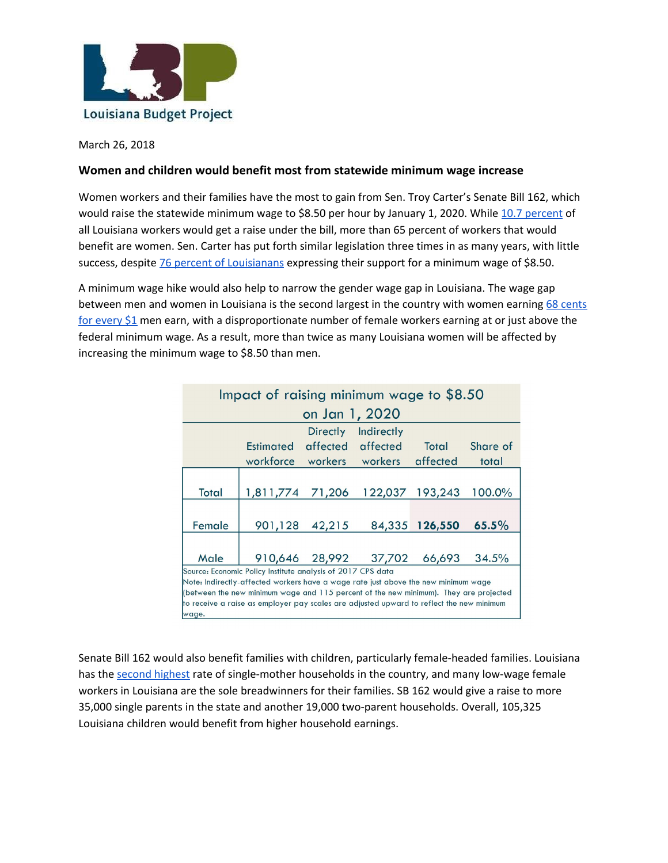

March 26, 2018

## **Women and children would benefit most from statewide minimum wage increase**

Women workers and their families have the most to gain from Sen. Troy Carter's Senate Bill 162, which would raise the statewide minimum wage to \$8.50 per hour by January 1, 2020. While 10.7 [percent](http://www.labudget.org/lbp/2018/03/policy-brief-senate-bill-162-would-boost-wages-for-more-than-1-in-10-louisiana-workers/) of all Louisiana workers would get a raise under the bill, more than 65 percent of workers that would benefit are women. Sen. Carter has put forth similar legislation three times in as many years, with little success, despite **76 percent of [Louisianans](http://pprllsu.com/wp-content/uploads/2016/04/Louisiana-Survey-2016-Report-Five-FINALv2.pdf)** expressing their support for a minimum wage of \$8.50.

A minimum wage hike would also help to narrow the gender wage gap in Louisiana. The wage gap between men and women in Louisiana is the second largest in the country with women earning 68 [cents](https://nwlc.org/wp-content/uploads/2017/04/2017-Higher-State-Minimum-Wages-Promote-Equal-Pay-for-Women.pdf) for [every](https://nwlc.org/wp-content/uploads/2017/04/2017-Higher-State-Minimum-Wages-Promote-Equal-Pay-for-Women.pdf) \$1 men earn, with a disproportionate number of female workers earning at or just above the federal minimum wage. As a result, more than twice as many Louisiana women will be affected by increasing the minimum wage to \$8.50 than men.

| Impact of raising minimum wage to \$8.50                                                 |                  |                 |                       |                 |          |  |  |  |
|------------------------------------------------------------------------------------------|------------------|-----------------|-----------------------|-----------------|----------|--|--|--|
| on Jan 1, 2020                                                                           |                  |                 |                       |                 |          |  |  |  |
|                                                                                          |                  | Directly        | Indirectly            |                 |          |  |  |  |
|                                                                                          | Estimated        | affected        | affected              | Total           | Share of |  |  |  |
|                                                                                          | workforce        | workers workers |                       | affected        | total    |  |  |  |
|                                                                                          |                  |                 |                       |                 |          |  |  |  |
| <b>Total</b>                                                                             | 1,811,774 71,206 |                 |                       | 122,037 193,243 | 100.0%   |  |  |  |
|                                                                                          |                  |                 |                       |                 |          |  |  |  |
| Female                                                                                   | 901,128          | 42,215          |                       | 84,335 126,550  | 65.5%    |  |  |  |
|                                                                                          |                  |                 |                       |                 |          |  |  |  |
| Male                                                                                     |                  |                 | 910,646 28,992 37,702 | 66,693          | 34.5%    |  |  |  |
| Source: Economic Policy Institute analysis of 2017 CPS data                              |                  |                 |                       |                 |          |  |  |  |
| Note: Indirectly-affected workers have a wage rate just above the new minimum wage       |                  |                 |                       |                 |          |  |  |  |
| (between the new minimum wage and 115 percent of the new minimum). They are projected    |                  |                 |                       |                 |          |  |  |  |
| to receive a raise as employer pay scales are adjusted upward to reflect the new minimum |                  |                 |                       |                 |          |  |  |  |
| wage.                                                                                    |                  |                 |                       |                 |          |  |  |  |

Senate Bill 162 would also benefit families with children, particularly female-headed families. Louisiana has the second [highest](https://www.statista.com/statistics/242302/percentage-of-single-mother-households-in-the-us-by-state/) rate of single-mother households in the country, and many low-wage female workers in Louisiana are the sole breadwinners for their families. SB 162 would give a raise to more 35,000 single parents in the state and another 19,000 two-parent households. Overall, 105,325 Louisiana children would benefit from higher household earnings.